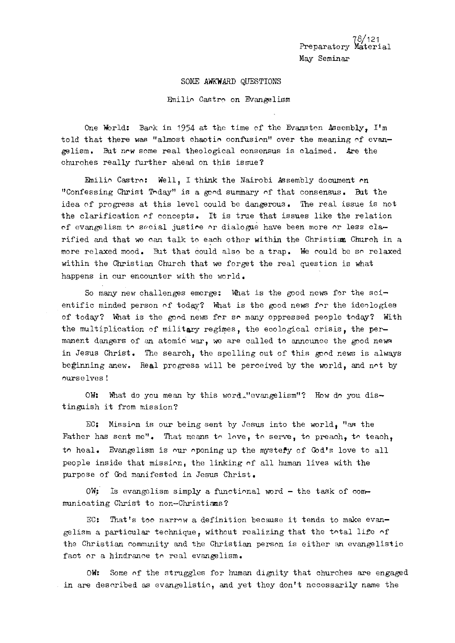78/121 Preparatory Material May Seminar

#### SOME AWKWARD QUESTIONS

Fhilin Castro on Evangelism

One World: Back in 1954 at the time of the Evanston Assembly, I'm told that there was "almost chaotic confusion" over the meaning of evangelism. But ncw some real theological consensus is claimed. Are the ohurohes really further ahead on this issue?

Enilio Castro: Well, I think the Nairobi Assembly document on "Confessing Christ Today" is a good summary of that consensus. But the idea of progress at this level could be dangerous. The real issue is not the clarification of concepts. It is true that issues like the relation of evangelism to secial justice or dialogue have been more or less clarified and that **we** can talk to each other within the Christian Church in a more relaxed mood. But that could also be a trap. We rould be so relaxed within the Christian Church that we forget the real question is what happens in our encounter with the world.

So many new challenges emerge: What is the good news for the scientific minded person of todq? What is the good news for the ideologies of today? What is the good news for so many oppressed people today? With the multiplication of military regimes, the ecological crisis, the permanent dangers of an atomic war, we are called to announce the good news in Jesus Christ. The search, the spelling out of this good news is always beginning anew. Real progress will be perceived by the world, and not by nurse lves !

OW: What do you mean by this word."evangelism"? How do you distinguish it from mission?

EC: Mission is our being sent by Jesus into the world, "an the Father has sent me". That means to love, to serve, to preach, to teach, **tn** heal. Evangelism is nur npcning up the mystePy of God's love to all people inside that mission, the linking of all human lives with the purpose of God manifested in Jesus Christ.

 $OW:$  Is evangelism simply a functional word - the task of communicating Christ to non-Christians?

EC: That's too narrow a definition because it tends to make evangelism a particular technique, without realizing that the total life of the Christian community and the Christian person is either an evangelistic faot or a hindrance to real evangelism.

OW: Some of the struggles for human dignity that churches are engaged in are described as evangelistic, and yet they don't necessarily name the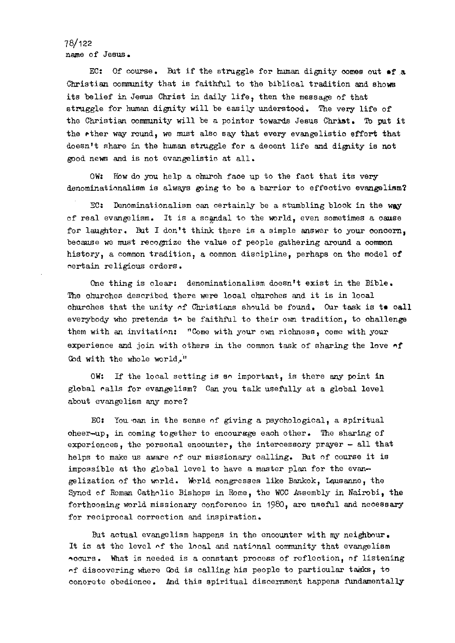78/122 name of Jesus.

EC: Of course. But if the struggle for human dignity comes out of a Christian commnity that is faithful to the biblical tradition and shows its belief in Jesus Christ in daily life, then the message of that struggle for human dignity will be easily understood. The very life of the Christian community will be a pointer towards Jesus Christ. To put it the ether way round, we must also say that every evangelistic effort that doesn't share in the human stmggle for a deoent life and dignity is not good news and is not evangelistic at all.

OW: How do you help a church face up to the fact that its very denominationalism is always going to be a barrier to effective evangelism?

 $5C:$  Denominationalism can certainly be a stumbling block in the way cf real evangelism. It is a scandal to the world, even sometimes a cause for laughter. But I don't think there is a simple answer to your concern, because we must recognize the value of people gathering around a common history, a common tradition, a common discipline, perhaps on the model of certain religious orders.

One thing is clear: denominationalism doesn't exist in the Bible. The ohurches described there **were** local ohurohes and it is in lcoal churohes that the unity of Christians should be found. Our task is te call everybody who pretends to be faithful to their own tradition, to ohallenge them with an invitation: "Come with your own richness, come with your experience and join with others in the common task of sharing the love of God with the whole world,"

OW: If the local setting is so important, is there **any** paint in global calla for evangelism? Can you talk usefully at a global level about evangelism *any* more?

EC: You .oan in the sense of giving a psychological, a spiritual oheer-up, in coming together to enooursge eaoh other. The sharing of experiences, the personal encounter, the intercessory prayer  $-$  all that helps to make us aware of our missionary oalling. But of course it is impossible at the global level to have a master plan for the evangelization of the world. World congresses like Bankok, Leusanne, the Synod of Roman Catholio Bishops in Rome, the WCC Assembly in Nairobi, the forthcoming world missionary conference in 1980, are useful and necessary for reciprocal correction and inspiration.

But actual evangelism happens in the encounter with my neighbour. It is at the level of the local and national community that evangelism Accurs. What is needed is a constant process of reflection, of listening  $\eta$ f disoovering where God is calling his people to partioular tagks, to conorete obedience. And this spiritual discernment happens fundamentally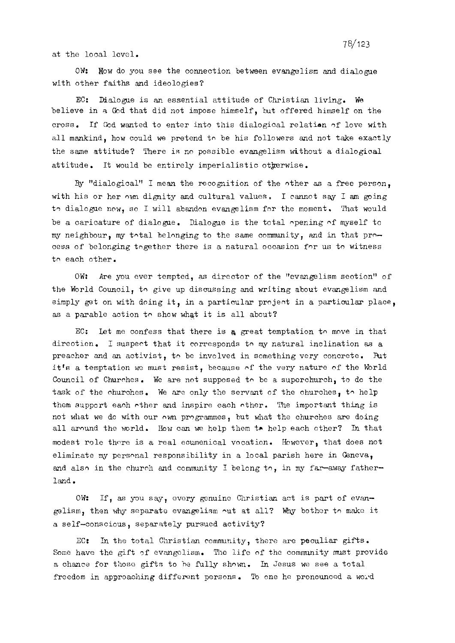at the local level.

OW: How do you see the connection between evangelism and dialogue with other faiths and ideologies?

EC: Dialogue is an essential attitude of Christian living. We believe in **a** Cbd that did not impose himself, but offered himself on the cross. If Gad wanted to enter into this dialogical relatian of love with all mankind, how could we pretend to be his followers and not take exactly the same attitude? There is no possible evangelism without a dialogioal attitude. It would be entirely imperialistic otherwise.

By "dialogical" I mean the recognition of the nther as a free person, with his or her own dignity and cultural values. I cannot say I am going to dialogue now, so I will abandon evangelism for the moment. That would be a caricature of dialogue. Dialogue is the total opening of myself to my neighbour, my total belonging to the same community, and in that process of belonging tngether there is a natural occasion for us to witness tn each other.

OW: Are you ever tempted, as director of the "evangelism seotion" of the World Council, to give up discussing and writing about evangelism and simply get on with doing it, in a particular project in a particular place, as a parable action to show what it is all about?

EC: Let me confess that there is **g** great temptation to move in that direction. I suspect that it corresponds to my natural inclination as a preacher and an activist, to be involved in something very concrete. But it's a temptation we must resist, because of the very nature of the World Council of Churches. We are not supposed to be a suporchurch, to do the task of the churches. We are only the servant of the churches, to help them support each other and inspire each other. The important thing is not what we do with our nwn programmes, but what the churches **am** doing all around the world. How can we help them **tr** help each other? In that modest role there is a real ecumenical vocation. However, that does not eliminate my personal responsibility in a local parish here in Geneva, and also in the church and community I belong to, in my far-away fatherland.

OW: If, as you say, every genuine Christian act is part of evangelism, then why separate evangelism nut at all? *Nhy* bother to make it a self-conscious, separately pursued activity?

EC: In the total Christian community, there are peculiar gifts. Some have the gift of evangelism. The life of the community must provide a chance for those gifts to he fully shown. In Jesus we see a total freedom in approaching different persons. To one he pronounced a word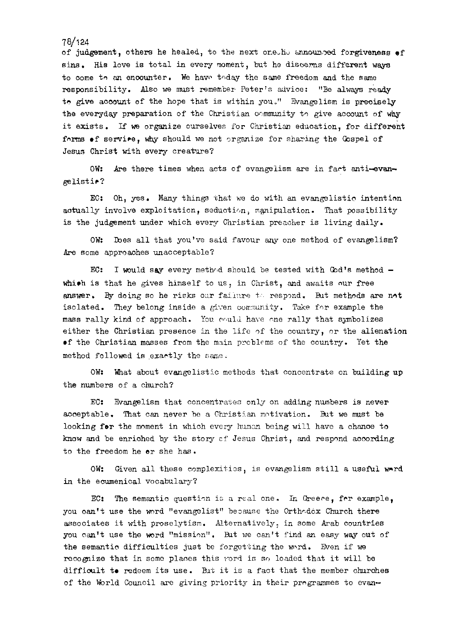of judgement, others he healed, to the next one ho announced forgiveness of sins. His love is total in every moment, but he discerns different ways to come to an encounter. We have teday the same freedom and the same responsibility. Also we must remember Peter's advice: "Be always ready to give account of the hope that is within you." Evangelism is precisely the everyday preparation of the Christian community to give account of why it exists. If **we** organize ourselves for Christian eduoation, for different forms of service, why should we not organize for sharing the Cospel of Jesus Christ with every creature?

OW: Are there times when acts of evangelism are in fact anti-evangelistir?

EC: Oh, yes. Many things that we do with an evangelistic intention actually involve exploitation, seduction, manipulation. That possibility is the judgement under which every Christian preacher is living daily.

OW: lbes all that you've said favour *any* one method of evangelism? Are some approaches unacceptable?

EC: I would say every method should be tested with  $God's$  method  $$ which is that he gives himself to us, in Christ, and awaits our free answer. By doing so he risks oar failure to respond. But methods are not isolated. They belong inside a given community. Take for example the mass rally kind of approach. You would have one rally that symbolizes either the Christian presence in the life of the country, or the alienation of the Christian masses from the main problems of the country. Yet the method followed is exactly the same.

OW: What about evangelistic methods that concentrate on building up the numbers of a church?

 $EG:$  Evangelism that concentrates only on adding numbers is never acceptable. That can never he a Christian motivation. But we must be looking for the moment in which every human being will have a chance to how and be enriched by the story cf Jesus Christ, and respond aooording to the freedom he er she has.

OW: Given all these complexities, is evangelism still a useful ward in the ecumenical vocabulary?

EC: The semantic question is a real one. In Greece, for example, you can't use the word "evangelist" because the Orthr.dox Church there associates it with proselytism. Alternatively, in some Arab countries you can't use the ward "mission". kt **we** ca't find an easy way out of the semantic difficulties just be forgetting the word. Even if we recognize that in some places this yord is so loaded that it will be difficult to redeem its use. But it is a fact that the member churches of the World Council are giving priority in their prngrammes to evan-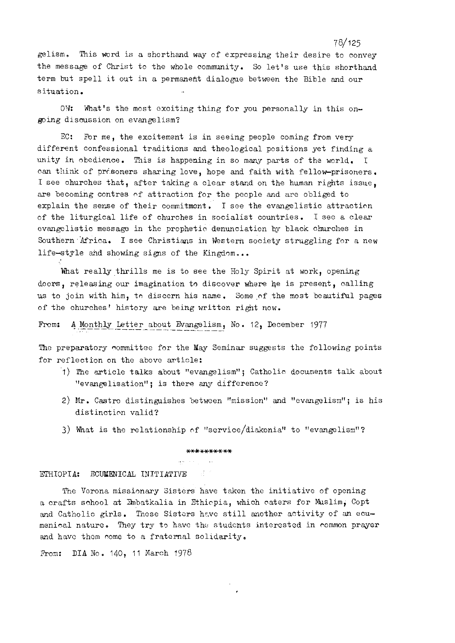gelism. This word is a shorthand way of expressing their desire to convey the message of Christ to the whole community. So let's use this shorthand term but spell it out in a permanent dialogue between the Bible and our situation.

OW: What's the most exciting thing for you personally in this ongoing dismission on evangelism?

 $EC:$  For me, the excitement is in seeing people coming from very different confessional traditions and theological positions yet finding a unity in obedience. This is happening in so many parts of the world. I can think of prisoners sharing love, hope and faith with fellow-prisoners. I see churches that, after taking a clear stand on the human rights issue, are becoming contres nf attraction for the people and are obliged to explain the sense of their commitment. I see the evangelistic attraction of the liturgical life of churches in socialist countries. I see a clear evangelistic message in the prophetic denunciation by black churches in Southern 'Mrica. I see Christims in Western society struggling for a new life-style and showing signs of the Kingdom...

What really thrills me is to see the Holy Spirit at work, opening doors, releasing our imagination to discover where he is present, calling us to join with him, to discern his name. Some of the most beautiful pages of the churches' history are being written right now.

From: A Monthly Letter about Evangelism, No. 12, December 1977

The preparatory committee for the May Seminar suggests the following points for reflection on the above article:

- 1) The article talks about "evangelism"; Catholic documents talk about "evangelisation"; is there any difference?
- 2) Mr. Castro distinguishes between "mission" and "evangelism"; is his distinction valid?
- 3) What is the relationship of "service/diakonia" to "evangelism"?

#### \*\*\*\*\*\*\*\*\*\*

ETHIOPIA: ECUMENICAL INITIATIVE

The Verona missionary Sisters have taken the initiative of opening a crafts school at Znbatkalia in Ethicpia, which caters for kslim, Copt and Catholic girls. These Sisters have still another activity of an ecumenical nature. They try to have the students interested in common prayer and have them come to a fraternal solidarity.

From: DIA No.  $140, 11$  March  $1978$ 

78/125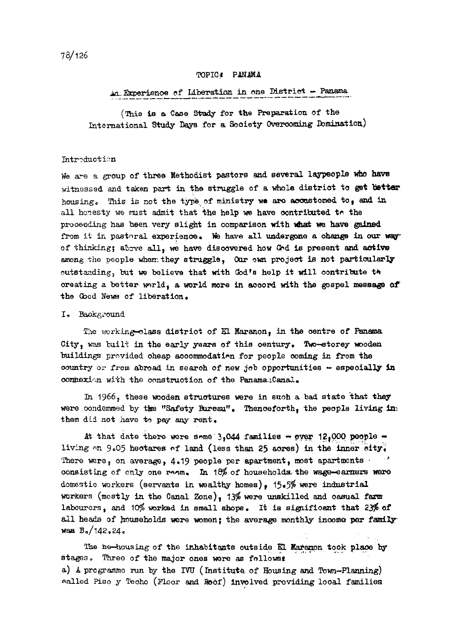## TOPIC: PANAMA

## An Experience of Idberation in one District - Panama

(This is a Case Study for the Preparation of the International Study Days for a Society Overcoming Domination)

### Introduction

We are a group of three Methodist pastors and several laypeople who have witnessed and taken part in the struggle of a whole district to get better housing. This is not the type of ministry we are accustomed to, and in all honesty we must admit that the help we have contributed to the proceeding has been very slight in comparison with what we have gained from it in pastoral experience. We have all undergone a change in our way of thinking; above all, we have discovered how God is present and active among the people whem they struggle, Our own project is not particularly outstanding, but we believe that with God's help it will contribute the oreating a better world, a world more in accord with the gospel message of the Good News of liberation.

#### I. Background

The working-class district of El Maranon, in the centre of Panama City, was built in the early years of this century. Two-storey wooden buildings previded oheap accommodation for people coming in from the country or from abroad in search of new job opportunities - especially in connexion with the construction of the PanamanCanal.

In 1966, these wooden structures were in such a bad state that they were condemmed by the "Safety Bureau". Thenceforth, the people living in: them did not have to pay any rent.

At that date there were some  $3,044$  families - over 12,000 people living on 9.05 hectares of land (less than 25 acres) in the inner city. There were, on average, 4.19 people per apartment, most apartments  $\cdot$ consisting of only one resm. In  $18\%$  of households the wage-earners were domestio workers (servants in wealthy homes), 15.5% were industrial workers (mostly in the Canal Zone), 13% were unskilled and casual farm labourers, and 10% worked in small shops. It is significant that 23% of all heads of households were women; the average monthly income per family was  $B_0/142.24c$ 

The ho-housing of the inhabitants outside El Maranon took place by stages. Three of the major ones were as follows: a) A programme run by the IVU (Institute of Housing and Town-Planning) ealled Piso y Techo (Floor and Roof) involved providing local families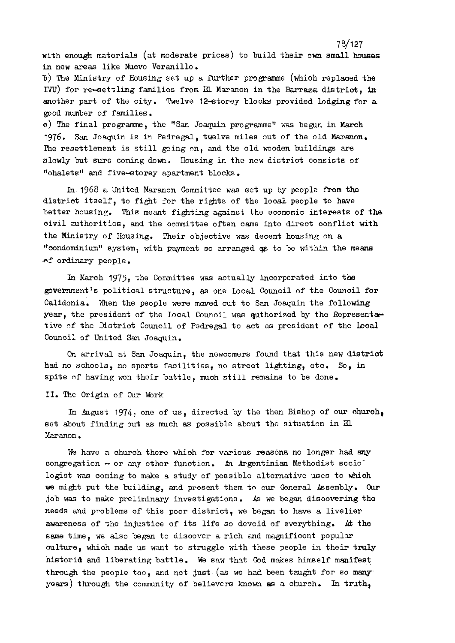with enough materials (at moderate prioes) to build their ow small **houses**  in new areas like Nuevo Veranillo.

7 8/127

**B)** The Ministry of Housing set up a further programme (which replaced the IVU) for re-settling families from El Maranon in the Barraza district. in another part of the city. Twelve 12-storey blooks provided lodging for a pod number of families.

0) The final programme, the "San Joaquin programme" was begun in Maroh 1976. San Joaquin is in Pedregal, twelve miles out of the old Maranon. The resettlement is still going on, and the old wooden buildings are slowly but sure coming down. Housing in the new district consists of "ohalets" and five-storey apartment blocks.

In. 1968 a United Maranon Committee was set up by people **from** the distriot itself, to fight for the rights of the looal people to have better housing. This meant fighting against the eoonomic interests of the aivil authoritiee, and the oommittee often oame into direot oonfliot with the Ministry of Housing. Their objective was decent housing on a "condominium" system, with payment so arranged as to be within the means nf ordinary people.

In March 1975, the Committee was actually incorporated into the government's political struoture, as one Local Council of the Council for Calidonia. When the people were moved out to San Joaquin the following year, the president of the Local Counoil was quthorized by the Representative of the Distriot Council of Pedregal to act as president of the Local Council of United San Joaquin.

On arrival at San Joaquin, the newcomers found that this new district had no schools, no sports facilities, no street lighting, etc. **So,** in spite of having won their battle, much still remains to be done.

11. The Origin of Our Work

In August 1974, one of us, directed by the then Bishop of our church, set about finding out as much as possible about the situation in *El*  Maranon.

**We** have a church there whioh for various reasona no longer had my congregation - or any other function. An Argentinian Methodist socio logist was coming to make a study of possible alternative uses to whioh **we** might put the building, and present them to our General Aseembly. **Our**  job was to make preliminary investigations. As we began disoovering the meeds and problems of this poor district, we began to have a livelier awareness of the injustice of its life so devoid of everything. At the same time, we also began to disoover a rich and magnificent popular culture, which made us want to struggle with these people in their truly historid and liberating battle. We saw that God makes himself manifest through the people too, and not just (as we had been taught for so many years) through the community of believers known as a ohuroh. In truth,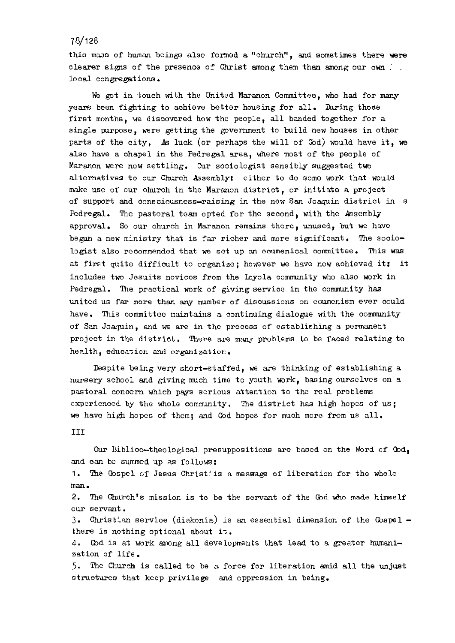this mass of human beings also formed a "church", and sometimes there **were**  clearer signs of the presence of Christ among them than among our own ... looal congregations.

We got in touch with the United Maranon Committee, who had for *mimy*  years been fighting to achieve better housing for all. During those first months, we discovered how the people, all banded together for a single purpose, were getting the government to build new houses in other parts of the city, **As** luck (or perhaps the will of Cod) would have it, **we**  also have a chapel in the Pedregal area, where most of the people of Maranon were now settling. Our sociologist sensibly suggested two alternatives to our Church Assembly: either to do some work that would make use of our ohurch in the Maranon district, or initiate a project of support and oonsciousness-raising in the now San Joaquin district in s Pedregal. The pastoral team opted for the second, with the Assembly approval. So our church in Maranon remains thcrc, unused, but we have begun a new ministry that is far richer and more significant. The sooiologist also recommended that we set up an ecumenical committee. This was at first quite diffioult to organize; however **we** have now aohieved it: it includes two Jesuits noviccs from the Layola community who also work in Pedregal. The practical work of giving service in the community has united us far more than *any* number of disoussions on eoumenism ever oould have. This committee maintains a continuing dialogue with the community of San Joaquin, and we are in tho process of establishing a permanent project in the district. There are many problems to be faced relating to health, education and organization.

Despite being very short-staffed, we are thinking of establishing a nursery school and giving much time to youth work, basing ourselves on a pastoral conoern which pays serious attention to the real problems expcrienced by the whole oommunity. 'Ihe district has high hopes of us; **we** have high hopes of them; and God hopes for much more from us all.

**I11** 

Our Biblioo-theological presuppositions are based on the Word of God, and can be summed up as follows:

1. The Cospel of Jesus Christ'.is a message of liberation for the whole man.

2. The Church's mission is to be the servant of the God who made himself our servant.

3 Christian servioe (diakonia) is an essential dimension of the Gospel there is nothing optional about it.

4. Cod is at work among all developments that lead to a greater humanization of life.

*5.* The **Church** is called to be a force for liberation anid all the unjust structures that keep privilege and oppression in being.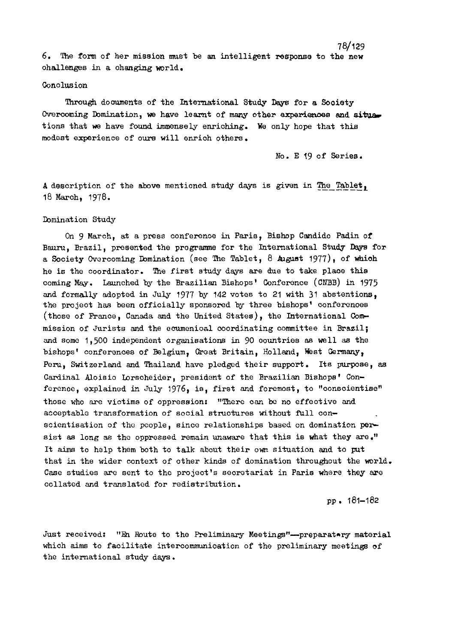6. The form of her mission must be an intelligent response to the new ohallenges in a ohanging world.

#### Conolusion

Tnrough doouments of the International Study **Days** for a Sooiety Overcoming Domination, we have learnt of many other experiences and situations that **we** have found immensely enriching. He only hope that this modest experience of ours will enrich others.

No. E 19 of Series.

78/129

A description of the above mentioned study days is given in The Tablet, 18 March, 1978.

#### Ibminat ion Study

On 9 March, at a press conferenoe in Paris, Bishop Candido Padin of Bauru, Brazil, presented the programme for the International Study Dqys for a Society Overcoming Domination (see The Tablet,  $8$  August 1977), of which he is the coordinator. The first study dqys are due to take plane this coming *May.* Launched by the Brazilian Bishops' Conference (CNBB) in 1975 and formally adopted in July 1977 by 142 votes to 21 with 31 abstentions, the project has been officially sponsored by three bishops' conferences (those of France, Canada and the United States), the International Cow mission of Jurists and the ecumenioal coordinating committee in Brazil; and some 1,500 independent organisations in 90 oountries as well **as** the bishops' conferences of Belgium, Great Britain, Holland, West Germany, Peru, Switzerland and Thailand have pledged their support. Its purpose, as Cardinal Aloisio Lorscheider, president of the Brazilian Bishops' Conferenoe, explained in July 1976, is, first and foremost, to "conscientise" those who are victims of oppression: "There can be no effeotive and acceptable transformation of social structures without full conscientisation of the people, since relationships based on domination **per**sist as long as the oppressed remain unaware that this is what they are." It aims to help them both to talk about their om situation and to put that in the wider context of other kinds of domination throughout the world. Case studies **arc** sent to the project's secretariat in Paris where they are oollated and translated for redistribution.

pp . 181-182

Just received: "En Route to the Preliminary Meetings"--preparatory material which aims to facilitate intercommunication of the preliminary meetings of the international study days.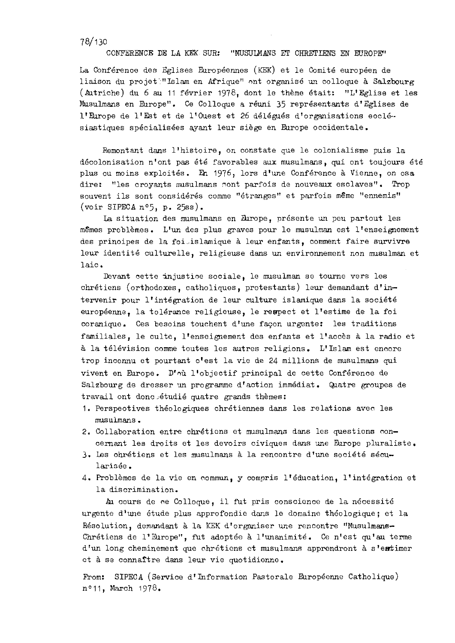#### CONFERENCE DE LA KEK SUR: "MUSULMANS ET CHRETIENS EN EUROPE"

La Conférenoe des Eglises Européennes (KEK) et le Comité européen de liaison du projet:"Islam en Afrique" ont organisé un colloque à Salzbourg (Autriche) du 6 au 11 février 1978, dont le thème était: "L'Eglise et les Musulmans en Europe". Ce Colloque a réuni 35 représentants d'Eglises de l'Europe de l'Est et de l'Ouest et 26 délégués d'organisations ecclé-siastiques spécialisées ayant leur siège en Europe occidentale.

Remontant dans l'histoire, on ccnstate que le colonialisme puis la décolonisation n'ont pas été favorables aux musulmans, qui ont toujours été plus ou moins exploités. En 1976, lors d'une Conférence à Vienne, on osa dire: "les croyants musulmans nont parfois de nouveaux esclaves". Trop souvent ils sont considérés comme "étranges" et parfois même "ennemis" (voir SIPECA n05, p. 25ss).

La situation des musulmans en Europe, présente un peu partout les mêmes problèmes. L'un des plus graves pour le musulman est l'enseignement des prinoipes de la foi.islamique à leur enfants, comment faire survivre leur identit6 oulturelle, religieuse dans **ur,** envircnnement non musulman et laio .

Bvant cette injustioe sociale, le musulman se tourne vers les chrétiens (orthodoxes, catholiques, protestants) leur demandant d'intervenir pour l'intégration de leur culture islamique dans la société européenne, la tolérance religieuse, le respect et l'estime de la foi coranique. Ces besoins touchent d'une façon urgente: les traditions familiales, le culte, l'enseignement des enfants et l'accès à la radio et à la télévision comme toutes les autres religions. L'Islam est encore trop inconnu et pourtant c'est la vie de 24 millions de musulmans qui vivent en &rope. D'n& l'objectif principal de cette Gonference de Salzbourg de dresser un programme d'action immédiat. Quatre groupes de travail ont donc étudié quatre grands thèmes:

- 1. Perspeotives theologiques chretiennes dans les relations aver. les musulmans .
- 2. Collaboration entre chrétiens et musulmans dans les questions concernant les droits et les devoirs civiques dans **une** &rope pluraliste.
- 3. Les ohrétiens et les musulmans à la rencontre d'une société sécularisée.
- 4. Problèmes de la vie en commun, y compris l'éducation, l'intégration et la discrimination.

Au cours de ce Colloque, il fut pris conscience de la nécessité urgente d'une étude plus approfondie dans le domaine théologique; et la Résolution, demandant à la KEK d'organiser une rencontre "Musulmans-Chrétiens de l'Europe", fut adoptée à l'unanimité. Ce n'est qu'au terme d'un long cheminement que chrétiens et musulmans apprendront à s'entimer et à se connaître dans leur vie quotidienne.

From: SIPECA (Service d'Information Pastorale Européenne Catholique) n°11, March 1978.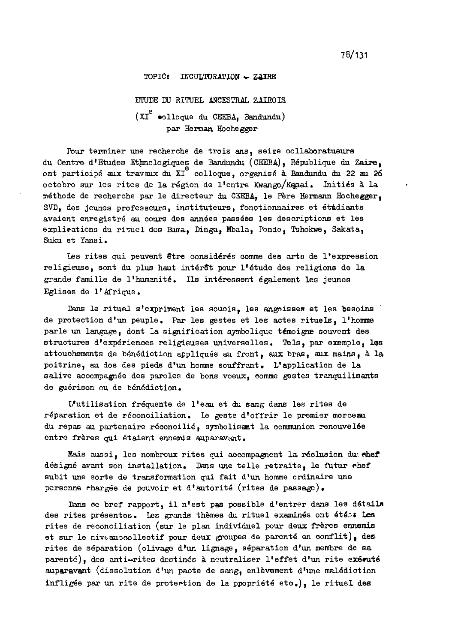#### TOPIC: INCULTURATION  $-$  ZATRE

ETUDE DU RITUEL ANCESTRAL ZAIROIS  $(XI^e)$  olloque du CEEBA, Bandundu) par Heman Hoohegger

Pour terminer une recherche de trois ans, seize collaboratueurs du Centre d'Etudes Ethnologiques de Bandundu (CEEBA), République du Zaire, e ont partioip6 **aux** travaux du XI colloque, organis6 **H** Bandundu **du** 22 **au 26**  octobre *sur* les rites de la région de l'entre Kwango/Kasai. Initiés à la méthode de recherche par le directeur du CEEBA, le Père Hermann Hochegger, SVD, des jeunes professeurs, instituteurs, fonctionnaires et étudiants avaient enregistré au cours des années passées les descriptions et les explications du rituel des Buma, Dinga, Mbala, Pende, Tshokwe, Sakata, Suku et Yansi.

Les rites qui peuvent être considérés comme des arts de l'expression religieuse, sont du plus haut inter& **pour** lf6tude des religion6 de la grande famille de l'humanité. Ils intéressent également les jeunes Eglises de 1'Afrique.

Dans le ritual s'expriment les souois, les angoisses et les besoins de protection d'un peuple. Par les gestes et les actes rituels, l'homme parle un langage, dont la signification symbolique témoigne souvent des structures d'expériences religieuses universelles. Tels, par exemple, les attouchements de bénédiction appliqués au front, aux bras, aux mains, à la poitrine, au dos des pieds d'un homme souffrant. L'application de la salive acoompagnée des paroles de bons voeux, comme gestes tranquilisants de guérison ou de bénédiction.

L'utilisation fréquente de l'eau et du sang dans les rites de réparation et de réconciliation. Le geste d'offrir le premier morceau du repas au partenaire réconcilié, symbolisant la communion renouvelée entre frères qui étaient ennemis auparavant.

Mais aussi, les nombreux rites qui accompagnent la réclusion du chef design6 avant son installation. Das me telle retraite, le **futur** nhef subit une sorte de transformation qui fait d'un homme ordinaire une personne rhargée de pouvoir et d'autorité (rites de passage).

Dans ce bref rapport, il n'est pas possible d'entrer dans les détails des rites présentes. Les grands thèmes du rituel examinés ont étés: Les rites de moonciliation (sur le plan individuel pour deux freres ennemia et sur le niveau ocollectif pour deux groupes de parenté en conflit), des rites de séparation (olivage d'un lignage, séparation d'un membre de sa parenté), des anti-rites destinés à neutraliser l'effet d'un rite exécuté auparavent (dissolution d'un paote de sang, enlèvement d'une malédiotion infligée par un rite de protection de la ppopriété eto.), le rituel des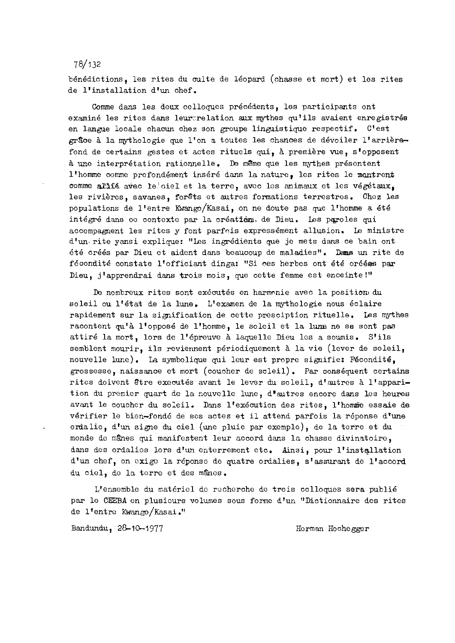benedictions, les rites du culte de leopard (chasse et mort) et les rites de l'installation d'un chef.

Comme dans les deux colloques précédents, les participants ont examiné les rites dans leur:relation aux mythes qu'ils avaient enregistrés en langue locale chacun chez son groupe linguistique respectif. C'est grãoe à la mythologie que l'on a toutes les chances de dévoiler l'arrièrafond de certains gestes et actes rituels qui, à première vue, s'opposent **5** une interpretation rationnelle. Dc m8me que les mythes presentent l'homme comme profondément inséré dans la nature, les rites le montrent comme allié avec leioiel et la terre, avec les animaux et les végétaux, les rivières, savanes, forêts et autres formations terrestres. Chez les populations de l'entre Kwango/Kasai, on ne doute pas que l'homme a été intégré dans oc contexte par la création. de Dieu. Les paroles qui accompagnent les rites y font parfois expressément allusion. Le ministre d'un. rite yansi explique: "Les ingredients que je mets dans ce bain ont été créés par Dieu et aident dans beaucoup de maladies". Dams un rite de fécondité constate l'officiant dinga: "Si ces herbes ont été oréées par Dieu, j'apprendrai dans trois mois, que cette femme est enceinte!"

Dc nombreux rites sont executes en harmnnie avec la positiam **du**  soleil ou l'état de la lune. L'examen de la mythologie nous éclaire rapidement sur la signification de oette presciption rituelle. Les mythes racontent qu'à l'opposé de l'homme, le soleil et la luma ne se sont pas attiré la mort, lors de l'épreuve à laquelle Dieu les a soumis. S'ils semblent mourir, ils reviennent périodiquement à la vie (lever de soleil, nouvelle lune). La symbolique qui leur est propre signifie: Fécondité, grossesse, naissance et mort (couoher de soleil). Par consequent certains rites doivent être executés avant le lever du soleil, d'autres à l'apparition du premier quart de la nouvelle lune, d'autres encore dans les heures avant le coucher du soleil. Dans l'exécution des rites, l'homme essaie de vérifier le bien-fondé de ses actes et il attend parfois la réponse d'une ordalie, d'un signe du ciel (une pluie par exemple), de la terre et du monde de mânes qui manifestent leur accord dans la chasse divinatoire, dans des ordalies lors d'un enterrement etc. Ainsi, pour l'installation d'un chef, on cxigc la reponso de quatre ordalies, s'assurant de l'accord du ciel, de la terre et des mânes.

L'ensemble du materiel do recherche de trois colloques sera publie par le CEEBA en plusieurs volumes sous forme d'un "Dictionnaire des rites de l'entre Kwango/Kasai."

Bandundu, 28-10-1977 Herman Hochegger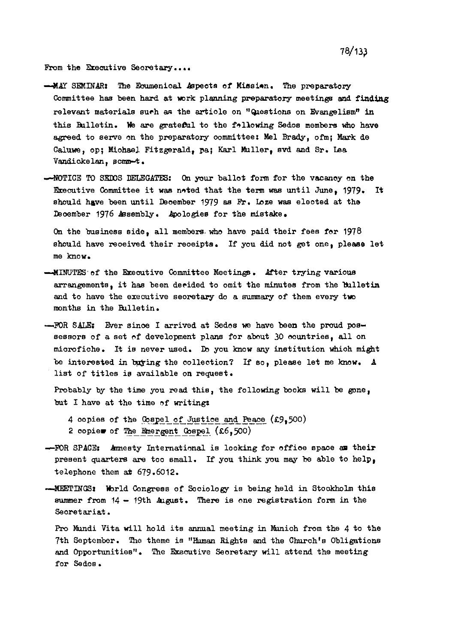From the Executive Secretary....

- -MAY SEMINAR: The Ecumenical Aspects of Missian. The preparatory Committee has been hard at work planning preparatory meetings and finding relevant materials such as the article on "Questions on Evangelism" in this Bulletin. We are grateful to the following Sedos members who have agreed to serve on the preparatory committee: Mel Brady, ofm; Mark de Caluwe, op; Michael Fitzgerald, pa; Karl Muller, svd and Sr. Lea Vandickelan, scmm-t.
- -NOTICE TO SEDOS DELEGATES: On your ballot form for the vacancy on the Executive Committee it was noted that the term was until June, 1979. It should have been until December 1979 as Fr. Loze was elected at the December 1976 Assembly. Apologies for the mistake.

On the business side, all members who have paid their fees for 1978 should have received their receipts. If you did not get one, please let me know.

- -- MINUTES of the Executive Committee Meetings. After trying various arrangements, it has been decided to omit the minutes from the bulletin and to have the executive secretary do a summary of them every two months in the Bulletin.
- -FOR SALE: Ever since I arrived at Sedos we have been the proud possessors of a set of development plans for about 30 countries, all on microfiche. It is never used. Do you know any institution which might be interested in buying the collection? If so, please let me know. A list of titles is available on request.

Probably by the time you read this, the following books will be gone, but I have at the time of writing:

4 copies of the Cospel of Justice and Peace (£9,500) 2 copies of The Emergent Gospel  $(x6,500)$ 

- -FOR SPACE: Amnesty International is looking for office space as their present quarters are too small. If you think you may be able to help, telephone them at 679.6012.
- -MEETINGS: World Congrees of Sociology is being held in Stockholm this summer from  $14 - 19th$  August. There is one registration form in the Secretariat.

Pro Mundi Vita will hold its annual meeting in Munich from the 4 to the 7th September. The theme is "Human Rights and the Church's Obligations and Opportunities". The Executive Secretary will attend the meeting for Sedos.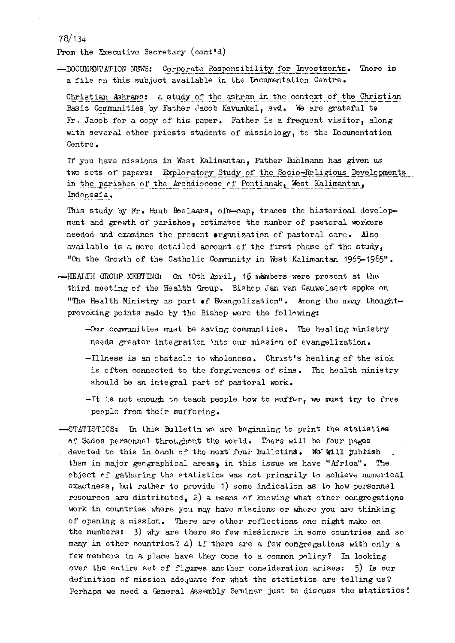From the Executive Secretary (cont'd)

-DOCUMENTATION NEWS: Corporate Responsibility for Investments. There is a file on this subject available in the Documentation Centre.

Christian Ashrams: a study of the ashram in the context of the Christian Basic Communities by Father Jacob Kavumkal, svd. We are grateful to Fr. Jacob for a copy of his paper. Father is a frequent visitor, along with several other priests students of missiology, to the Documentation Centre.

If you have missions in West Kalimantan, Father Buhlmann has given us two sets of papers: Exploratory Study of the Socio-Religious Developments in the parishes of the Archdiocese of Pontianak, West Kalimantan, Indonesia.

This study by Fr. Huub Boelaars, ofm-cap, traces the historical development and growth of parishes, estimates the number of pastoral workers needed and examines the present organization of pastoral care. Also available is a more detailed account of the first phase of the study, "On the Growth of the Catholic Community in West Kalimantan 1965-1985".

- --HEALTH GROUP MEETING: On 10th April, 15 members were present at the third meeting of the Health Group. Bishop Jan van Cauwelaert spoke on "The Health Ministry as part of Evangelization". Among the many thoughtprovoking points made by the Bishop were the following:
	- $-0$ ur communities must be saving communities. The healing ministry needs greater integration into our mission of evangelization.
	- -Illness is an obstacle to wholeness. Christ's healing of the sick is often connected to the forgiveness of sins. The health ministry should be an integral part of pastoral work.

-It is not enough to teach people how to suffer, we must try to free people from their suffering.

-STATISTICS: In this Bulletin we are beginning to print the statistics of Sedos personnel throughout the world. There will be four pages devoted to this in oach of the next four bulletins. We will publish them in major geographical areas; in this issue we have "Africa". The object of gathering the statistics was not primarily to achieve numerical exactness, but rather to provide 1) some indication as to how personnel resources are distributed, 2) a means of knowing what other congregations work in countries where you may have missions or where you are thinking of opening a mission. There are other reflections one might make on the numbers: 3) why are there so few missioners in some countries and so many in other countries? 4) if there are a few congregations with only a few members in a place have they come to a common policy? In looking over the entire set of figures another consideration arises:  $5)$  Is our definition of mission adequate for what the statistics are telling us? Perhaps we need a General Assembly Seminar just to discuss the statistics!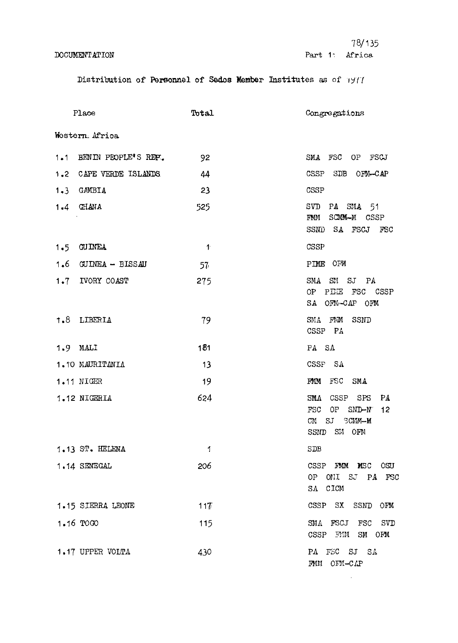# **DOCUMENTATION**

 $\sim 10^{-10}$ 

Distribution of Personnel of Sedos Member Institutes as of 1977

|                | Place                   | Total                | Congregations                                                                                         |
|----------------|-------------------------|----------------------|-------------------------------------------------------------------------------------------------------|
| Western Africa |                         |                      |                                                                                                       |
|                | 1.1 BENIN PEOPLE'S REP. | 92                   | SMA FSC OP FSCJ                                                                                       |
|                | 1.2 CAPE VERDE ISLANDS  | 44                   | <b>CSSP</b><br>SDB OFN-CAP                                                                            |
|                | 1.3 GAMBIA              | 23                   | CSSP                                                                                                  |
|                | 1.4 GHANA               | 525                  | PA SMA 51<br>SVD<br>SOMM-M CSSP<br>$\Gamma$ M $\Lambda$<br>SA FSCJ FSC<br>SSND                        |
|                | 1.5 GUINEA              | $\blacktriangleleft$ | CSSP                                                                                                  |
|                | 1.6 GUINEA - BISSAU     | 57                   | PIME OFM                                                                                              |
|                | 1.7 IVORY COAST         | 275                  | SM SJ PA<br>$_{\rm SMA}$<br>OP PIEE FSC CSSP<br>SA OFM-CAP OFM                                        |
|                | 1.8 LIBERIA             | 79                   | SMA FMM SSND<br>CSSP PA                                                                               |
|                | $1.9$ MALI              | 181                  | PA SA                                                                                                 |
|                | 1.10 MAURITANIA         | 13                   | CSSP SA                                                                                               |
|                | 1.11 NIGER              | 19                   | FMM<br>FSC<br>SMA                                                                                     |
|                | 1.12 NIGERIA            | 624                  | SMA<br>CSSP<br>SPS<br>PA<br>$SMD-N$<br><b>FSC</b><br>OP<br>12<br>CM<br>SJ<br>SCMM-M<br>SM OFM<br>SSND |
|                | 1.13 ST. HELENA         | -1                   | <b>SDB</b>                                                                                            |
|                | 1.14 SENEGAL            | 206                  | CSSP FMM MSC OSU<br>OP ONI SJ PA FSC<br>SA CICM                                                       |
|                | 1.15 SIERRA LEONE       | 117                  | CSSP SX SSND OFM                                                                                      |
|                | 1.16 TOGO               | 115                  | FSCJ FSC SVD<br>SMA<br>CSSP FMM SM OFM                                                                |
|                | 1.17 UPPER VOLTA        | 430                  | PA FSC SJ SA<br>HMM OFM-CAP                                                                           |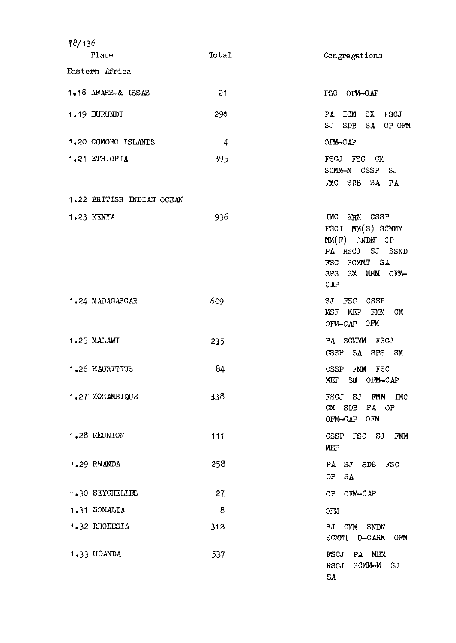| 18/136 |                           |            |                                                                                                                                             |
|--------|---------------------------|------------|---------------------------------------------------------------------------------------------------------------------------------------------|
|        | Place                     | Total      | Congregations                                                                                                                               |
|        | Eastern Africa            |            |                                                                                                                                             |
|        | 1.18 AFARS & ISSAS        | 21         | FSC OFM-CAP                                                                                                                                 |
|        | 1.19 BURUNDI              | 296        | ICM<br>SX FSCJ<br>PA<br>SJ<br>SDB<br>SA OP OFM                                                                                              |
|        | 1.20 COMORO ISLANDS       | 4          | OFM-CAP                                                                                                                                     |
|        | 1.21 ETHIOPIA             | 395        | FSCJ FSC CM<br>SOMM-M CSSP SJ<br>IMC SDE SA PA                                                                                              |
|        | 1.22 BRITISH INDIAN OCEAN |            |                                                                                                                                             |
|        | 1.23 KENYA                | 936        | $\mathbb{D}^{\text{nc}}$<br>KHK CSSP<br>FSCJ MM(S) SCMMM<br>$MM(F)$ SNDN CP<br>PA RSCJ SJ SSND<br>FSC SCMMT SA<br>SM MHM OFM-<br>SPS<br>CAP |
|        | 1.24 MADAGASCAR           | 609        | $\mathbb{S} \mathbb{J}$<br>FSC CSSP<br>MEP FMM<br>CM<br>MSF<br>OFM-CAP OFM                                                                  |
|        | 1.25 MALAWI               | 235        | PA SCMMM FSCJ<br>CSSP<br>SA SPS SM                                                                                                          |
|        | 1.26 MAURITIUS            | $\delta$ 4 | CSSP<br>FMM<br>FSC<br>MEP SU OFM-CAP                                                                                                        |
|        | 1.27 MOZAMBIQUE           | 338        | FSCJ SJ<br>FMM<br><b>INC</b><br>$CM$ SDB<br>PA OP<br>OFM-CAP OFM                                                                            |
|        | 1.28 REUNION              | 111        | $\texttt{CSSP}$<br>FSC SJ<br>FMM<br><b>MEP</b>                                                                                              |
|        | 1.29 RWANDA               | 258        | PA SJ SDB<br>FSC<br>SA<br>0P                                                                                                                |
|        | <b>1.30 SEYCHELLES</b>    | 27         | OFM-CAP<br>OP                                                                                                                               |
|        | 1.31 SOMALIA              | 8          | OFM                                                                                                                                         |
|        | 1.32 RHODESIA             | 312        | $\mathbf{S} \mathbf{J}$<br>CMM<br>SNDN<br>SCMMT O-CARM<br>OFM                                                                               |
|        | 1.33 UGANDA               | 537        | FSCJ<br>PA MHM<br>SCMM-M SJ<br>RSCJ<br>SA                                                                                                   |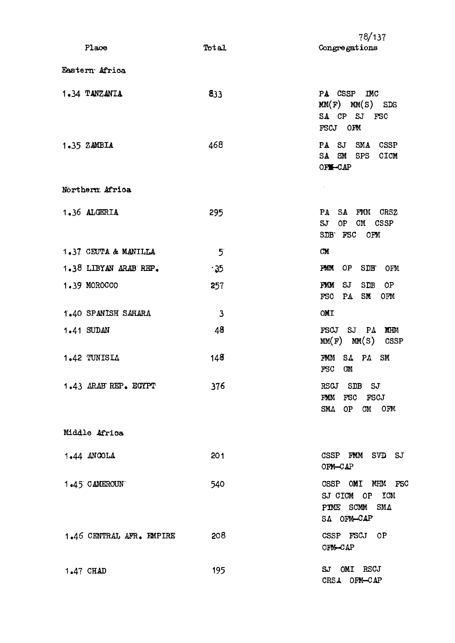| Place                    | Total        | 78/137<br>Congregations                                                     |
|--------------------------|--------------|-----------------------------------------------------------------------------|
| Eastern Africa           |              |                                                                             |
| 1.34 TANZANIA            | 833          | PA CSSP<br><b>IMC</b><br>$MM(F)$ $MM(S)$ SDS<br>SA CP SJ FSC<br>FSCJ OFM    |
| 1.35 ZAMBIA              | 468          | SMA CSSP<br>PA SJ<br>SA<br>SM<br><b>SPS</b><br>CICM<br>OF SHORT             |
| Northern Africa          |              |                                                                             |
| 1.36 ALGERIA             | 295          | PA SA FMM CRSZ<br>SJ<br>OP<br>CМ<br>CSSP<br>SDB FSC OFM                     |
| 1.37 CEUTA & MANILLA     | $5^{\circ}$  | <b>CM</b>                                                                   |
| 1.38 LIBYAN ARAB REP.    | $-35$        | SDB<br>FMM<br>0P<br>OFM                                                     |
| 1.39 MOROCCO             | 257          | SJ<br><b>SDB</b><br>FMM<br>0P<br>SM<br><b>FSC</b><br>PA<br>OFM              |
| 1.40 SPANISH SAHARA      | $\mathbf{3}$ | OMI                                                                         |
| 1.41 SUDAN               | 48           | FSCJ<br>$SJ$ $PA$<br><b>MHM</b><br>$MM(F)$ $MM(S)$<br>CSSP                  |
| 1.42 TUNISIA             | 148          | $S_{\Lambda}$<br>$P\Lambda$<br>FMM<br><b>SM</b><br><b>OM</b><br>FSC         |
| 1.43 ARAB REP. EGYPT     | 376          | SDB SJ<br>RSCJ<br>FSC FSCJ<br>FMM<br><b>SMA</b><br>OP<br>CM OFM             |
| Middle Africa            |              |                                                                             |
| $1.44$ ANGOLA            | 201          | CSSP FMM SVD SJ<br>OFM-CAP                                                  |
| 1.45 CAMEROUN            | 540          | CSSP OMI MHM FSC<br>SJ CICM OP ICM<br>PIME SCMM<br><b>SMA</b><br>SA OFM-CAP |
| 1.46 CENTRAL AFR. EMPIRE | 208          | CSSP FSCJ OP<br>OFM-CAP                                                     |
| 1.47 CHAD                | 195          | SJ OMI RSCJ<br>CRSA OFM-CAP                                                 |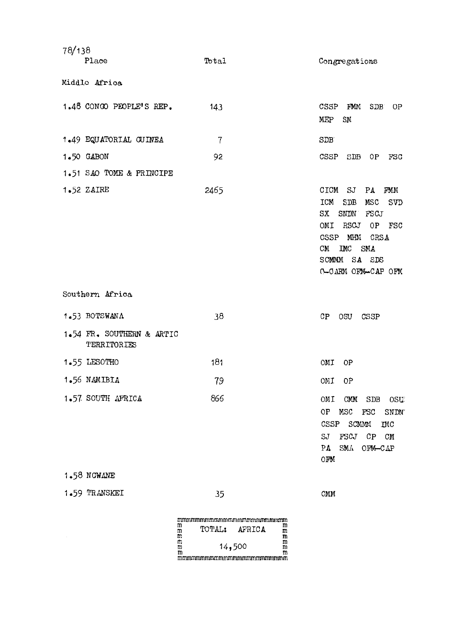| 78/138                                   |                |                                                                                                                                                                                                                                 |
|------------------------------------------|----------------|---------------------------------------------------------------------------------------------------------------------------------------------------------------------------------------------------------------------------------|
| Place                                    | Total          | Congregations                                                                                                                                                                                                                   |
| Middle Africa                            |                |                                                                                                                                                                                                                                 |
| 1.48 CONGO PEOPLE'S REP.                 | 143            | CSSP<br>FMM<br>SDB<br>0P<br><b>MEP</b><br>$SN$                                                                                                                                                                                  |
| 1.49 EQUATORIAL GUINEA                   | $\overline{7}$ | SDE                                                                                                                                                                                                                             |
| 1.50 GABON                               | 92             | CSSP<br>SDB<br>0P<br>FSC                                                                                                                                                                                                        |
| 1.51 SAO TOME & PRINCIPE                 |                |                                                                                                                                                                                                                                 |
| 1.52 ZAIRE                               | 2465           | CICM SJ<br>PA<br>FMM<br><b>ICM</b><br>SDB<br>MSC<br><b>SVD</b><br>SNDN<br><b>FSCJ</b><br>SX<br>OMI<br>RSCJ<br>OP<br>$_{\rm FSC}$<br>MHM<br>CSSP<br>CRSA<br>$~\rm LMC$<br><b>SMA</b><br>CM<br>SCMMM SA SDS<br>C-CARM OFM-CAP OFM |
| Southern Africa                          |                |                                                                                                                                                                                                                                 |
| 1.53 BOTSWANA                            | 38             | CP<br>OSU<br>CSSP                                                                                                                                                                                                               |
|                                          |                |                                                                                                                                                                                                                                 |
| 1.54 FR. SOUTHERN & ARTIC<br>TERRITORIES |                |                                                                                                                                                                                                                                 |
| 1.55 LESOTHO                             | 181            | OMI<br>0P                                                                                                                                                                                                                       |
| 1.56 NAMIBIA                             | 79             | 0P<br>OMI                                                                                                                                                                                                                       |
| 1.57 SOUTH AFRICA                        | 866            | OMI<br>CMM<br>SDB OSU<br>OP<br>MSC<br>FGC<br><b>SNDN</b><br>CSSP<br>SCMMM<br><b>IMC</b><br>FGCJ<br>SJ<br>CP CM<br>SMA OFM-CAP<br>PA<br>OFM                                                                                      |
| 1.58 NOWANE<br>1.59 TRANSKEI             | 35             | CMM                                                                                                                                                                                                                             |

 $\sim$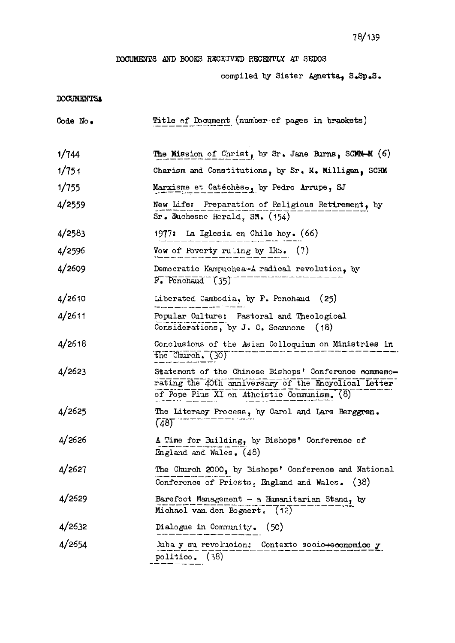## DOCUMENTS AND BOOKS RECEIVED RECENTLY AT SEDOS

 $\bar{\mathcal{A}}$ 

|            | 78/139                                                                                                                                                       |
|------------|--------------------------------------------------------------------------------------------------------------------------------------------------------------|
|            | DOCUMENTS AND BOOKS RECEIVED RECENTLY AT SEDOS                                                                                                               |
|            | compiled by Sister Agnetta, S.Sp.S.                                                                                                                          |
| DOCUMENTS: |                                                                                                                                                              |
| Code No.   | Title of Document (number of pages in brackets)                                                                                                              |
| 1/744      | The Mission of Christ, by Sr. Jane Burns, SCMM-M (6)                                                                                                         |
| 1/751      | Charism and Constitutions, by Sr. M. Milligan, SCHM                                                                                                          |
| 1/755      | Marxisme et Catéchèse, by Pedro Arrupe, SJ                                                                                                                   |
| 4/2559     | New Life: Preparation of Religious Retirement, by<br>Sr. Duchesne Herald, SM. (154)                                                                          |
| 4/2583     | 1977: La Iglesia en Chile hoy. (66)                                                                                                                          |
| 4/2596     | Vow of Poverty ruling by IRS. (7)                                                                                                                            |
| 4/2609     | Democratic Kampuchea-A radical revolution, by<br>$F_{\bullet}$ Ponchaud $(35)$                                                                               |
| 4/2610     | Liberated Cambodia, by F. Ponchaud<br>(25)                                                                                                                   |
| 4/2611     | Popular Culture: Pastoral and Theological<br>Considerations, by J. C. Scannone $(18)$                                                                        |
| 4/2618     | Conclusions of the Asian Colloquium on Ministries in<br>the Church. (30)                                                                                     |
| 4/2623     | Statement of the Chinese Bishops' Conference commemo-<br>rating the 40th anniversary of the Encyclical Letter<br>of Pope Pius XI on Atheistic Communism. (8) |
| 4/2625     | The Literacy Process, by Carol and Lars Berggren.<br>(48)                                                                                                    |
| 4/2626     | A Time for Building, by Bishops' Conference of<br>England and Wales. (48)                                                                                    |
| 4/2627     | The Church 2000, by Bishops' Conference and National<br>Conference of Priests, England and Wales. (38)                                                       |
| 4/2629     | Barefoot Management $-$ a Humanitarian Stand, by<br>Michael van den Bogaert. (12)                                                                            |
| 4/2632     | Dialogue in Community. (50)                                                                                                                                  |
| 4/2654     | Juba y su revolucion: Contexto socio+economico y<br>politico. (38)                                                                                           |